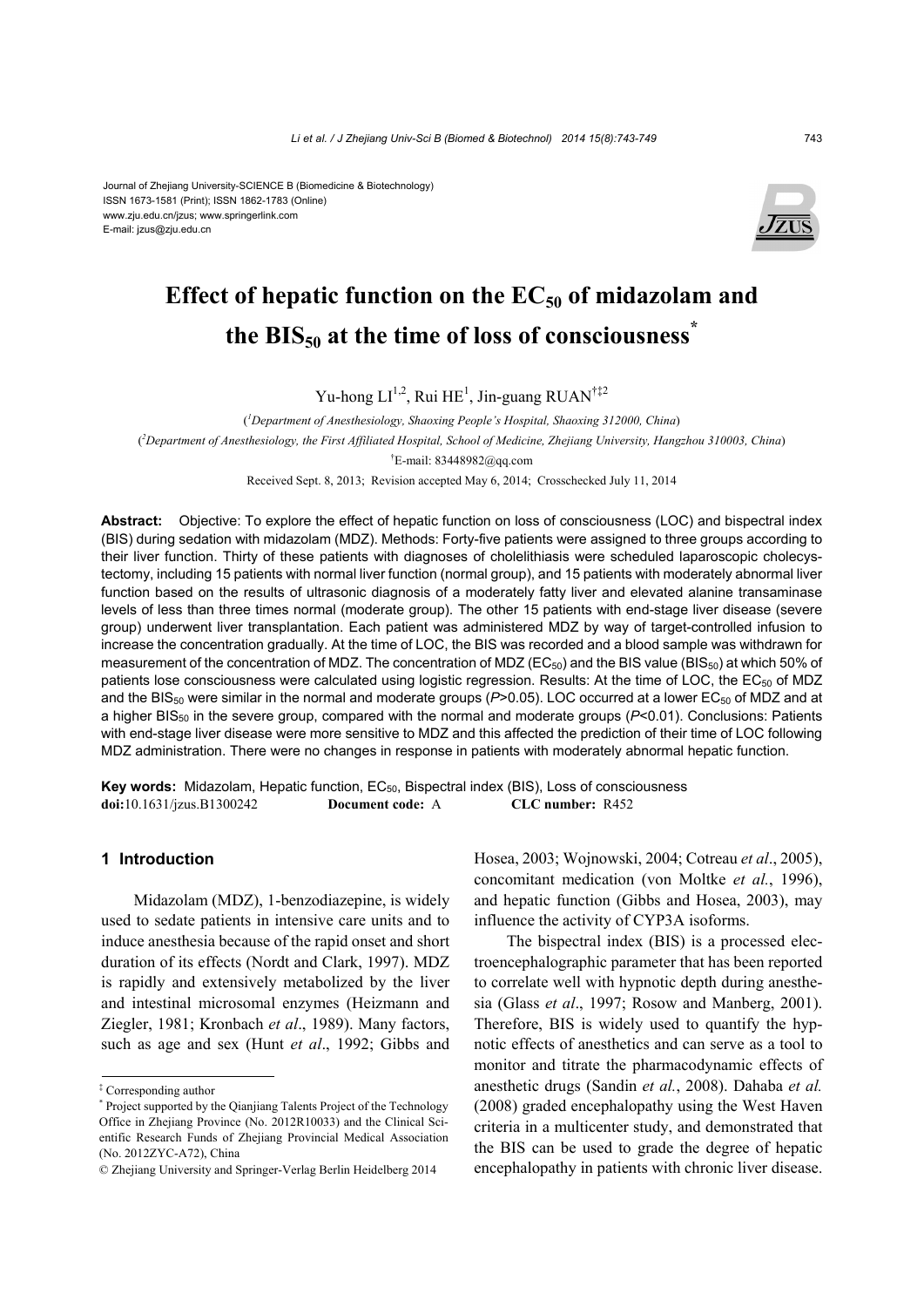#### Journal of Zhejiang University-SCIENCE B (Biomedicine & Biotechnology) ISSN 1673-1581 (Print); ISSN 1862-1783 (Online) www.zju.edu.cn/jzus; www.springerlink.com E-mail: jzus@zju.edu.cn



# **Effect of hepatic function on the EC50 of midazolam and the BIS50 at the time of loss of consciousness\***

Yu-hong  $LI^{1,2}$ , Rui HE<sup>1</sup>, Jin-guang RUAN<sup>†‡2</sup>

( *1 Department of Anesthesiology, Shaoxing People's Hospital, Shaoxing 312000, China*) ( *2 Department of Anesthesiology, the First Affiliated Hospital, School of Medicine, Zhejiang University, Hangzhou 310003, China*) † E-mail: 83448982@qq.com

Received Sept. 8, 2013; Revision accepted May 6, 2014; Crosschecked July 11, 2014

**Abstract:** Objective: To explore the effect of hepatic function on loss of consciousness (LOC) and bispectral index (BIS) during sedation with midazolam (MDZ). Methods: Forty-five patients were assigned to three groups according to their liver function. Thirty of these patients with diagnoses of cholelithiasis were scheduled laparoscopic cholecystectomy, including 15 patients with normal liver function (normal group), and 15 patients with moderately abnormal liver function based on the results of ultrasonic diagnosis of a moderately fatty liver and elevated alanine transaminase levels of less than three times normal (moderate group). The other 15 patients with end-stage liver disease (severe group) underwent liver transplantation. Each patient was administered MDZ by way of target-controlled infusion to increase the concentration gradually. At the time of LOC, the BIS was recorded and a blood sample was withdrawn for measurement of the concentration of MDZ. The concentration of MDZ ( $EC_{50}$ ) and the BIS value (BIS<sub>50</sub>) at which 50% of patients lose consciousness were calculated using logistic regression. Results: At the time of LOC, the EC<sub>50</sub> of MDZ and the BIS<sub>50</sub> were similar in the normal and moderate groups (P>0.05). LOC occurred at a lower EC<sub>50</sub> of MDZ and at a higher BIS<sub>50</sub> in the severe group, compared with the normal and moderate groups (P<0.01). Conclusions: Patients with end-stage liver disease were more sensitive to MDZ and this affected the prediction of their time of LOC following MDZ administration. There were no changes in response in patients with moderately abnormal hepatic function.

Key words: Midazolam, Hepatic function, EC<sub>50</sub>, Bispectral index (BIS), Loss of consciousness **doi:**10.1631/jzus.B1300242 **Document code:** A **CLC number:** R452

# **1 Introduction**

Midazolam (MDZ), 1-benzodiazepine, is widely used to sedate patients in intensive care units and to induce anesthesia because of the rapid onset and short duration of its effects (Nordt and Clark, 1997). MDZ is rapidly and extensively metabolized by the liver and intestinal microsomal enzymes (Heizmann and Ziegler, 1981; Kronbach *et al*., 1989). Many factors, such as age and sex (Hunt *et al*., 1992; Gibbs and

Hosea, 2003; Wojnowski, 2004; Cotreau *et al*., 2005), concomitant medication (von Moltke *et al.*, 1996), and hepatic function (Gibbs and Hosea, 2003), may influence the activity of CYP3A isoforms.

The bispectral index (BIS) is a processed electroencephalographic parameter that has been reported to correlate well with hypnotic depth during anesthesia (Glass *et al*., 1997; Rosow and Manberg, 2001). Therefore, BIS is widely used to quantify the hypnotic effects of anesthetics and can serve as a tool to monitor and titrate the pharmacodynamic effects of anesthetic drugs (Sandin *et al.*, 2008). Dahaba *et al.*  (2008) graded encephalopathy using the West Haven criteria in a multicenter study, and demonstrated that the BIS can be used to grade the degree of hepatic encephalopathy in patients with chronic liver disease.

<sup>‡</sup> Corresponding author

<sup>\*</sup> Project supported by the Qianjiang Talents Project of the Technology Office in Zhejiang Province (No. 2012R10033) and the Clinical Scientific Research Funds of Zheijang Provincial Medical Association (No. 2012ZYC-A72), China

<sup>©</sup> Zhejiang University and Springer-Verlag Berlin Heidelberg 2014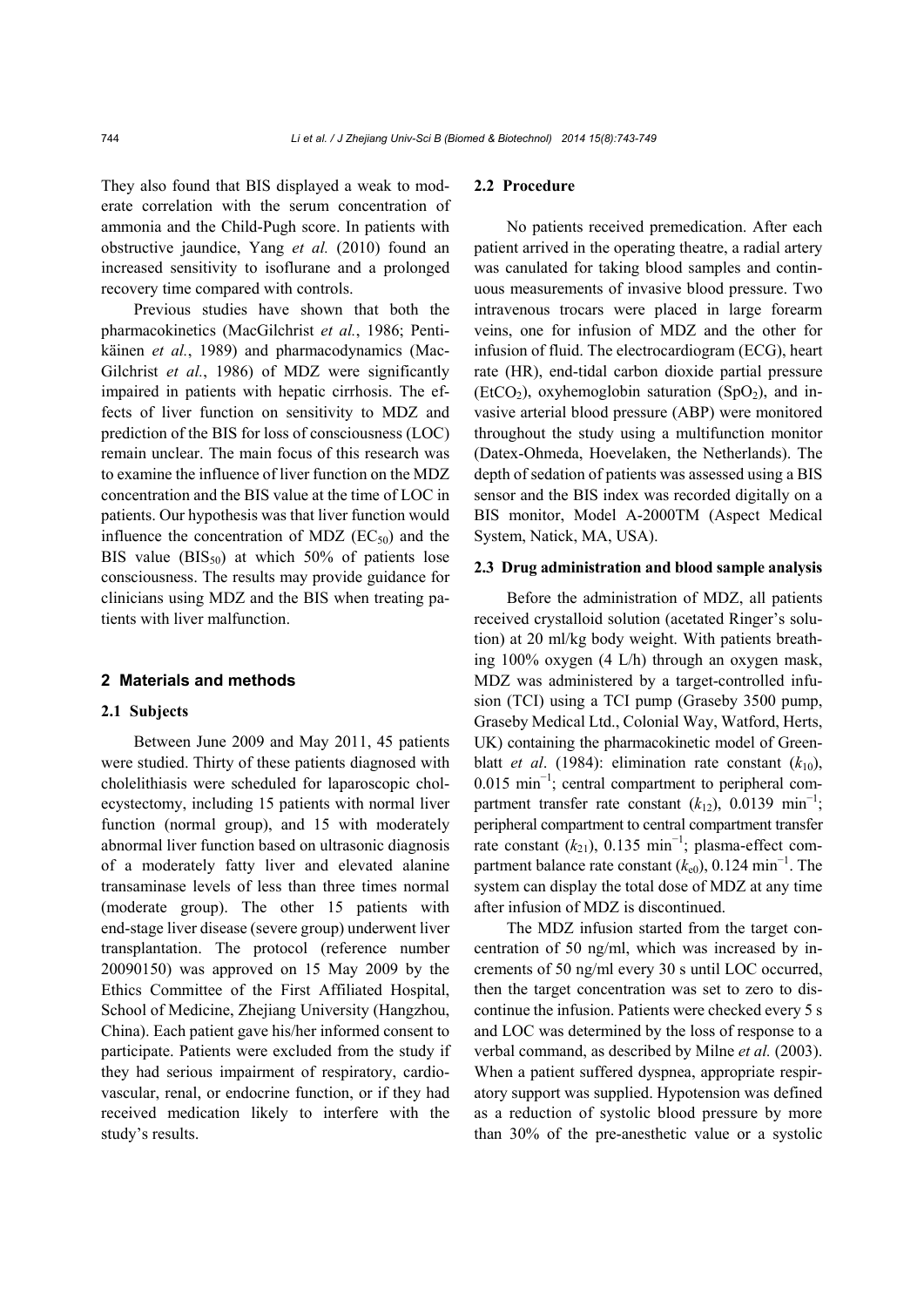They also found that BIS displayed a weak to moderate correlation with the serum concentration of ammonia and the Child-Pugh score. In patients with obstructive jaundice, Yang *et al.* (2010) found an increased sensitivity to isoflurane and a prolonged recovery time compared with controls.

Previous studies have shown that both the pharmacokinetics (MacGilchrist *et al.*, 1986; Pentikäinen *et al.*, 1989) and pharmacodynamics (Mac-Gilchrist *et al.*, 1986) of MDZ were significantly impaired in patients with hepatic cirrhosis. The effects of liver function on sensitivity to MDZ and prediction of the BIS for loss of consciousness (LOC) remain unclear. The main focus of this research was to examine the influence of liver function on the MDZ concentration and the BIS value at the time of LOC in patients. Our hypothesis was that liver function would influence the concentration of MDZ  $(EC_{50})$  and the BIS value  $(BIS_{50})$  at which 50% of patients lose consciousness. The results may provide guidance for clinicians using MDZ and the BIS when treating patients with liver malfunction.

#### **2 Materials and methods**

#### **2.1 Subjects**

Between June 2009 and May 2011, 45 patients were studied. Thirty of these patients diagnosed with cholelithiasis were scheduled for laparoscopic cholecystectomy, including 15 patients with normal liver function (normal group), and 15 with moderately abnormal liver function based on ultrasonic diagnosis of a moderately fatty liver and elevated alanine transaminase levels of less than three times normal (moderate group). The other 15 patients with end-stage liver disease (severe group) underwent liver transplantation. The protocol (reference number 20090150) was approved on 15 May 2009 by the Ethics Committee of the First Affiliated Hospital, School of Medicine, Zhejiang University (Hangzhou, China). Each patient gave his/her informed consent to participate. Patients were excluded from the study if they had serious impairment of respiratory, cardiovascular, renal, or endocrine function, or if they had received medication likely to interfere with the study's results.

## **2.2 Procedure**

No patients received premedication. After each patient arrived in the operating theatre, a radial artery was canulated for taking blood samples and continuous measurements of invasive blood pressure. Two intravenous trocars were placed in large forearm veins, one for infusion of MDZ and the other for infusion of fluid. The electrocardiogram (ECG), heart rate (HR), end-tidal carbon dioxide partial pressure (EtCO<sub>2</sub>), oxyhemoglobin saturation (SpO<sub>2</sub>), and invasive arterial blood pressure (ABP) were monitored throughout the study using a multifunction monitor (Datex-Ohmeda, Hoevelaken, the Netherlands). The depth of sedation of patients was assessed using a BIS sensor and the BIS index was recorded digitally on a BIS monitor, Model A-2000TM (Aspect Medical System, Natick, MA, USA).

#### **2.3 Drug administration and blood sample analysis**

Before the administration of MDZ, all patients received crystalloid solution (acetated Ringer's solution) at 20 ml/kg body weight. With patients breathing 100% oxygen (4 L/h) through an oxygen mask, MDZ was administered by a target-controlled infusion (TCI) using a TCI pump (Graseby 3500 pump, Graseby Medical Ltd., Colonial Way, Watford, Herts, UK) containing the pharmacokinetic model of Greenblatt *et al.* (1984): elimination rate constant  $(k_{10})$ , 0.015 min<sup>-1</sup>; central compartment to peripheral compartment transfer rate constant  $(k_{12})$ , 0.0139 min<sup>-1</sup>; peripheral compartment to central compartment transfer rate constant  $(k_{21})$ , 0.135 min<sup>-1</sup>; plasma-effect compartment balance rate constant  $(k_{e0})$ , 0.124 min<sup>-1</sup>. The system can display the total dose of MDZ at any time after infusion of MDZ is discontinued.

The MDZ infusion started from the target concentration of 50 ng/ml, which was increased by increments of 50 ng/ml every 30 s until LOC occurred, then the target concentration was set to zero to discontinue the infusion. Patients were checked every 5 s and LOC was determined by the loss of response to a verbal command, as described by Milne *et al.* (2003). When a patient suffered dyspnea, appropriate respiratory support was supplied. Hypotension was defined as a reduction of systolic blood pressure by more than 30% of the pre-anesthetic value or a systolic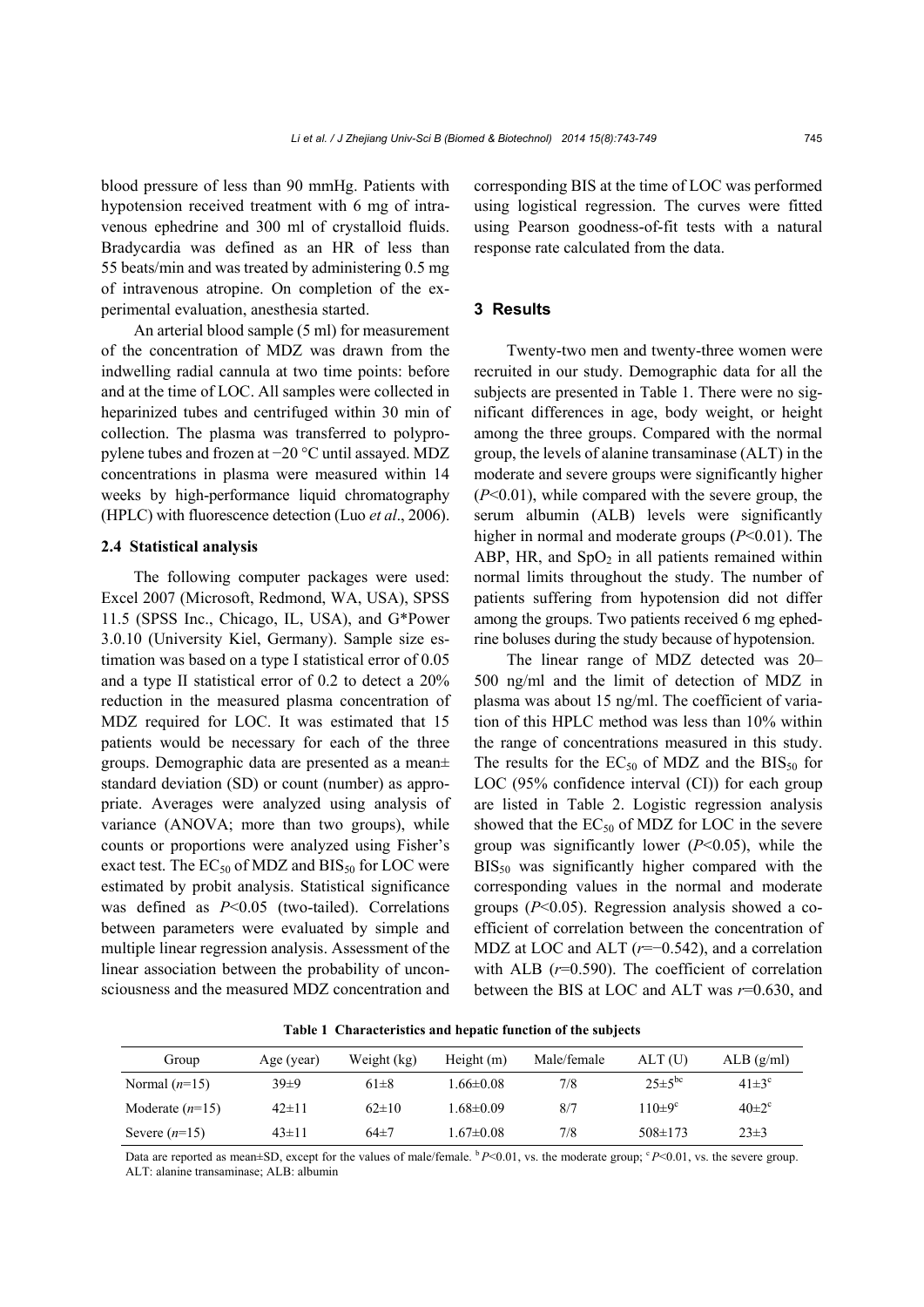blood pressure of less than 90 mmHg. Patients with hypotension received treatment with 6 mg of intravenous ephedrine and 300 ml of crystalloid fluids. Bradycardia was defined as an HR of less than 55 beats/min and was treated by administering 0.5 mg of intravenous atropine. On completion of the experimental evaluation, anesthesia started.

An arterial blood sample (5 ml) for measurement of the concentration of MDZ was drawn from the indwelling radial cannula at two time points: before and at the time of LOC. All samples were collected in heparinized tubes and centrifuged within 30 min of collection. The plasma was transferred to polypropylene tubes and frozen at −20 °C until assayed. MDZ concentrations in plasma were measured within 14 weeks by high-performance liquid chromatography (HPLC) with fluorescence detection (Luo *et al*., 2006).

### **2.4 Statistical analysis**

The following computer packages were used: Excel 2007 (Microsoft, Redmond, WA, USA), SPSS 11.5 (SPSS Inc., Chicago, IL, USA), and G\*Power 3.0.10 (University Kiel, Germany). Sample size estimation was based on a type I statistical error of 0.05 and a type II statistical error of 0.2 to detect a 20% reduction in the measured plasma concentration of MDZ required for LOC. It was estimated that 15 patients would be necessary for each of the three groups. Demographic data are presented as a mean± standard deviation (SD) or count (number) as appropriate. Averages were analyzed using analysis of variance (ANOVA; more than two groups), while counts or proportions were analyzed using Fisher's exact test. The  $EC_{50}$  of MDZ and  $BIS_{50}$  for LOC were estimated by probit analysis. Statistical significance was defined as *P*<0.05 (two-tailed). Correlations between parameters were evaluated by simple and multiple linear regression analysis. Assessment of the linear association between the probability of unconsciousness and the measured MDZ concentration and corresponding BIS at the time of LOC was performed using logistical regression. The curves were fitted using Pearson goodness-of-fit tests with a natural response rate calculated from the data.

### **3 Results**

Twenty-two men and twenty-three women were recruited in our study. Demographic data for all the subjects are presented in Table 1. There were no significant differences in age, body weight, or height among the three groups. Compared with the normal group, the levels of alanine transaminase (ALT) in the moderate and severe groups were significantly higher (*P*<0.01), while compared with the severe group, the serum albumin (ALB) levels were significantly higher in normal and moderate groups (*P*<0.01). The ABP, HR, and  $SpO<sub>2</sub>$  in all patients remained within normal limits throughout the study. The number of patients suffering from hypotension did not differ among the groups. Two patients received 6 mg ephedrine boluses during the study because of hypotension.

The linear range of MDZ detected was 20– 500 ng/ml and the limit of detection of MDZ in plasma was about 15 ng/ml. The coefficient of variation of this HPLC method was less than 10% within the range of concentrations measured in this study. The results for the  $EC_{50}$  of MDZ and the  $BIS_{50}$  for LOC (95% confidence interval (CI)) for each group are listed in Table 2. Logistic regression analysis showed that the  $EC_{50}$  of MDZ for LOC in the severe group was significantly lower (*P*<0.05), while the  $BIS_{50}$  was significantly higher compared with the corresponding values in the normal and moderate groups (*P*<0.05). Regression analysis showed a coefficient of correlation between the concentration of MDZ at LOC and ALT (*r*=−0.542), and a correlation with ALB ( $r=0.590$ ). The coefficient of correlation between the BIS at LOC and ALT was *r*=0.630, and

 $40 \pm 2^c$ 

Group Age (year) Weight (kg) Height (m) Male/female ALT (U) ALB (g/ml) Normal  $(n=15)$   $39\pm9$   $61\pm8$   $1.66\pm0.08$   $7/8$   $25\pm5^{bc}$   $41\pm3^{c}$ 

Severe (*n*=15) 43±11 64±7 1.67±0.08 7/8 508±173 23±3

Moderate (*n*=15) 42±11 62±10 1.68±0.09 8/7 110±9<sup>c</sup>

**Table 1 Characteristics and hepatic function of the subjects** 

Data are reported as mean $\pm$ SD, except for the values of male/female.  $\frac{b}{P}$   $\lt$ 0.01, vs. the moderate group;  $\frac{c}{P}$   $\lt$ 0.01, vs. the severe group. ALT: alanine transaminase; ALB: albumin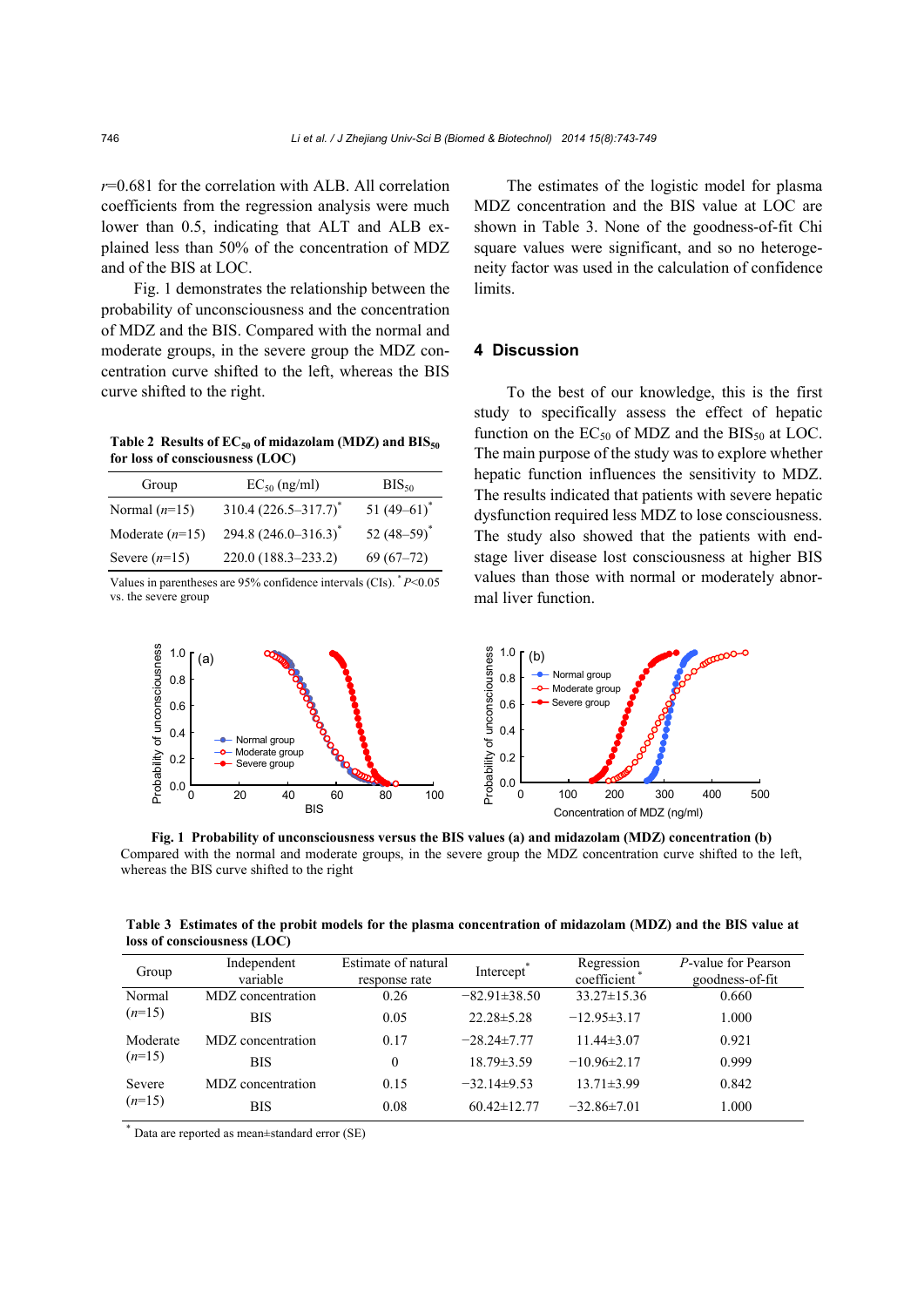*r*=0.681 for the correlation with ALB. All correlation coefficients from the regression analysis were much lower than 0.5, indicating that ALT and ALB explained less than 50% of the concentration of MDZ and of the BIS at LOC.

Fig. 1 demonstrates the relationship between the probability of unconsciousness and the concentration of MDZ and the BIS. Compared with the normal and moderate groups, in the severe group the MDZ concentration curve shifted to the left, whereas the BIS curve shifted to the right.

Table 2 Results of EC<sub>50</sub> of midazolam (MDZ) and BIS<sub>50</sub> **for loss of consciousness (LOC)**

| Group             | $EC_{50}$ (ng/ml)         | $BIS_{50}$     |
|-------------------|---------------------------|----------------|
| Normal $(n=15)$   | $310.4 (226.5 - 317.7)^*$ | 51 $(49-61)^*$ |
| Moderate $(n=15)$ | 294.8 $(246.0 - 316.3)^*$ | 52 $(48-59)^*$ |
| Severe $(n=15)$   | 220.0 (188.3–233.2)       | $69(67-72)$    |

Values in parentheses are 95% confidence intervals (CIs). \* *P*<0.05 vs. the severe group

The estimates of the logistic model for plasma MDZ concentration and the BIS value at LOC are shown in Table 3. None of the goodness-of-fit Chi square values were significant, and so no heterogeneity factor was used in the calculation of confidence limits.

# **4 Discussion**

To the best of our knowledge, this is the first study to specifically assess the effect of hepatic function on the  $EC_{50}$  of MDZ and the BIS<sub>50</sub> at LOC. The main purpose of the study was to explore whether hepatic function influences the sensitivity to MDZ. The results indicated that patients with severe hepatic dysfunction required less MDZ to lose consciousness. The study also showed that the patients with endstage liver disease lost consciousness at higher BIS values than those with normal or moderately abnormal liver function.



**Fig. 1 Probability of unconsciousness versus the BIS values (a) and midazolam (MDZ) concentration (b)**  Compared with the normal and moderate groups, in the severe group the MDZ concentration curve shifted to the left, whereas the BIS curve shifted to the right

**Table 3 Estimates of the probit models for the plasma concentration of midazolam (MDZ) and the BIS value at loss of consciousness (LOC)**

| Group    | Independent<br>variable | Estimate of natural<br>response rate | Intercept <sup>®</sup> | Regression<br>coefficient | P-value for Pearson<br>goodness-of-fit |
|----------|-------------------------|--------------------------------------|------------------------|---------------------------|----------------------------------------|
| Normal   | MDZ concentration       | 0.26                                 | $-82.91 \pm 38.50$     | $33.27 \pm 15.36$         | 0.660                                  |
| $(n=15)$ | <b>BIS</b>              | 0.05                                 | $22.28 \pm 5.28$       | $-12.95\pm3.17$           | 1.000                                  |
| Moderate | MDZ concentration       | 0.17                                 | $-28.24 \pm 7.77$      | $11.44\pm3.07$            | 0.921                                  |
| $(n=15)$ | <b>BIS</b>              | 0                                    | $18.79 \pm 3.59$       | $-10.96\pm2.17$           | 0.999                                  |
| Severe   | MDZ concentration       | 0.15                                 | $-32.14\pm9.53$        | $13.71 \pm 3.99$          | 0.842                                  |
| $(n=15)$ | <b>BIS</b>              | 0.08                                 | $60.42 \pm 12.77$      | $-32.86 \pm 7.01$         | 1.000                                  |

Data are reported as mean±standard error (SE)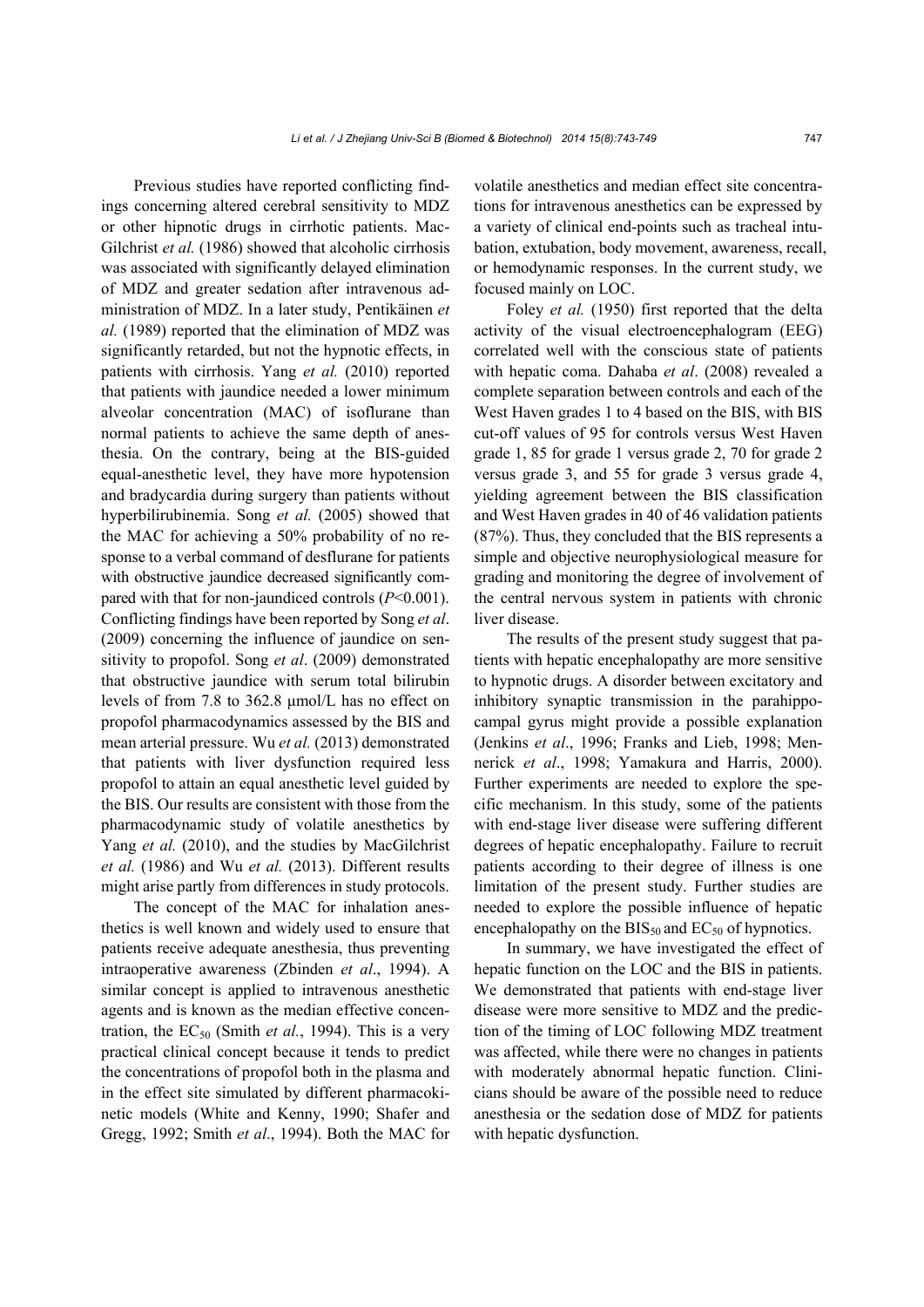Previous studies have reported conflicting findings concerning altered cerebral sensitivity to MDZ or other hipnotic drugs in cirrhotic patients. Mac-Gilchrist *et al.* (1986) showed that alcoholic cirrhosis was associated with significantly delayed elimination of MDZ and greater sedation after intravenous administration of MDZ. In a later study, Pentikäinen *et al.* (1989) reported that the elimination of MDZ was significantly retarded, but not the hypnotic effects, in patients with cirrhosis. Yang *et al.* (2010) reported that patients with jaundice needed a lower minimum alveolar concentration (MAC) of isoflurane than normal patients to achieve the same depth of anesthesia. On the contrary, being at the BIS-guided equal-anesthetic level, they have more hypotension and bradycardia during surgery than patients without hyperbilirubinemia. Song *et al.* (2005) showed that the MAC for achieving a 50% probability of no response to a verbal command of desflurane for patients with obstructive jaundice decreased significantly compared with that for non-jaundiced controls (*P*<0.001). Conflicting findings have been reported by Song *et al*. (2009) concerning the influence of jaundice on sensitivity to propofol. Song *et al*. (2009) demonstrated that obstructive jaundice with serum total bilirubin levels of from 7.8 to 362.8 μmol/L has no effect on propofol pharmacodynamics assessed by the BIS and mean arterial pressure. Wu *et al.* (2013) demonstrated that patients with liver dysfunction required less propofol to attain an equal anesthetic level guided by the BIS. Our results are consistent with those from the pharmacodynamic study of volatile anesthetics by Yang *et al.* (2010), and the studies by MacGilchrist *et al.* (1986) and Wu *et al.* (2013). Different results might arise partly from differences in study protocols.

The concept of the MAC for inhalation anesthetics is well known and widely used to ensure that patients receive adequate anesthesia, thus preventing intraoperative awareness (Zbinden *et al*., 1994). A similar concept is applied to intravenous anesthetic agents and is known as the median effective concentration, the  $EC_{50}$  (Smith *et al.*, 1994). This is a very practical clinical concept because it tends to predict the concentrations of propofol both in the plasma and in the effect site simulated by different pharmacokinetic models (White and Kenny, 1990; Shafer and Gregg, 1992; Smith *et al*., 1994). Both the MAC for

volatile anesthetics and median effect site concentrations for intravenous anesthetics can be expressed by a variety of clinical end-points such as tracheal intubation, extubation, body movement, awareness, recall, or hemodynamic responses. In the current study, we focused mainly on LOC.

Foley *et al.* (1950) first reported that the delta activity of the visual electroencephalogram (EEG) correlated well with the conscious state of patients with hepatic coma. Dahaba *et al*. (2008) revealed a complete separation between controls and each of the West Haven grades 1 to 4 based on the BIS, with BIS cut-off values of 95 for controls versus West Haven grade 1, 85 for grade 1 versus grade 2, 70 for grade 2 versus grade 3, and 55 for grade 3 versus grade 4, yielding agreement between the BIS classification and West Haven grades in 40 of 46 validation patients (87%). Thus, they concluded that the BIS represents a simple and objective neurophysiological measure for grading and monitoring the degree of involvement of the central nervous system in patients with chronic liver disease.

The results of the present study suggest that patients with hepatic encephalopathy are more sensitive to hypnotic drugs. A disorder between excitatory and inhibitory synaptic transmission in the parahippocampal gyrus might provide a possible explanation (Jenkins *et al*., 1996; Franks and Lieb, 1998; Mennerick *et al*., 1998; Yamakura and Harris, 2000). Further experiments are needed to explore the specific mechanism. In this study, some of the patients with end-stage liver disease were suffering different degrees of hepatic encephalopathy. Failure to recruit patients according to their degree of illness is one limitation of the present study. Further studies are needed to explore the possible influence of hepatic encephalopathy on the  $BIS_{50}$  and  $EC_{50}$  of hypnotics.

In summary, we have investigated the effect of hepatic function on the LOC and the BIS in patients. We demonstrated that patients with end-stage liver disease were more sensitive to MDZ and the prediction of the timing of LOC following MDZ treatment was affected, while there were no changes in patients with moderately abnormal hepatic function. Clinicians should be aware of the possible need to reduce anesthesia or the sedation dose of MDZ for patients with hepatic dysfunction.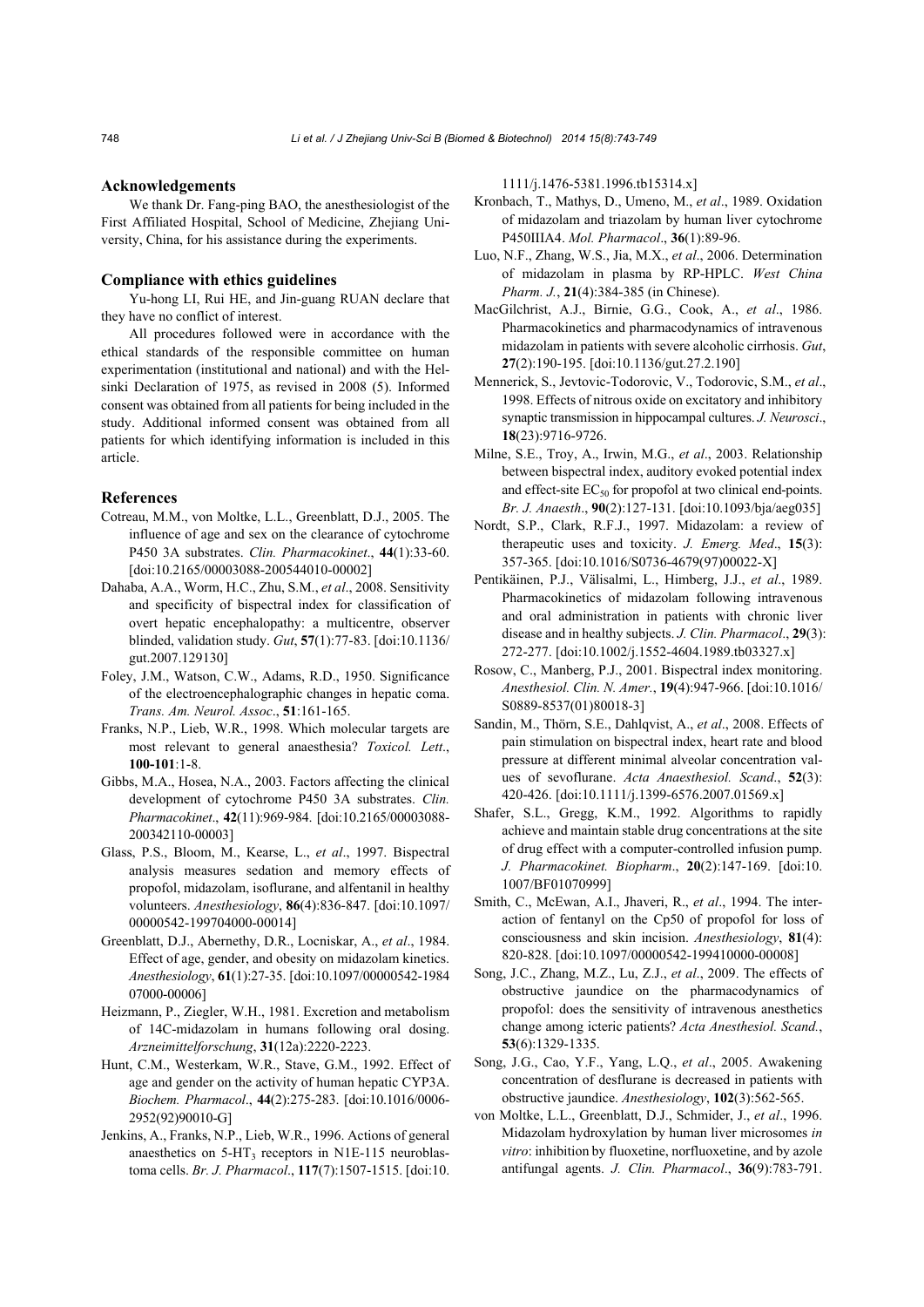#### **Acknowledgements**

We thank Dr. Fang-ping BAO, the anesthesiologist of the First Affiliated Hospital, School of Medicine, Zhejiang University, China, for his assistance during the experiments.

#### **Compliance with ethics guidelines**

Yu-hong LI, Rui HE, and Jin-guang RUAN declare that they have no conflict of interest.

All procedures followed were in accordance with the ethical standards of the responsible committee on human experimentation (institutional and national) and with the Helsinki Declaration of 1975, as revised in 2008 (5). Informed consent was obtained from all patients for being included in the study. Additional informed consent was obtained from all patients for which identifying information is included in this article.

### **References**

- Cotreau, M.M., von Moltke, L.L., Greenblatt, D.J., 2005. The influence of age and sex on the clearance of cytochrome P450 3A substrates. *Clin. Pharmacokinet*., **44**(1):33-60. [doi:10.2165/00003088-200544010-00002]
- Dahaba, A.A., Worm, H.C., Zhu, S.M., *et al*., 2008. Sensitivity and specificity of bispectral index for classification of overt hepatic encephalopathy: a multicentre, observer blinded, validation study. *Gut*, **57**(1):77-83. [doi:10.1136/ gut.2007.129130]
- Foley, J.M., Watson, C.W., Adams, R.D., 1950. Significance of the electroencephalographic changes in hepatic coma. *Trans. Am. Neurol. Assoc*., **51**:161-165.
- Franks, N.P., Lieb, W.R., 1998. Which molecular targets are most relevant to general anaesthesia? *Toxicol. Lett*., **100-101**:1-8.
- Gibbs, M.A., Hosea, N.A., 2003. Factors affecting the clinical development of cytochrome P450 3A substrates. *Clin. Pharmacokinet*., **42**(11):969-984. [doi:10.2165/00003088- 200342110-00003]
- Glass, P.S., Bloom, M., Kearse, L., *et al*., 1997. Bispectral analysis measures sedation and memory effects of propofol, midazolam, isoflurane, and alfentanil in healthy volunteers. *Anesthesiology*, **86**(4):836-847. [doi:10.1097/ 00000542-199704000-00014]
- Greenblatt, D.J., Abernethy, D.R., Locniskar, A., *et al*., 1984. Effect of age, gender, and obesity on midazolam kinetics. *Anesthesiology*, **61**(1):27-35. [doi:10.1097/00000542-1984 07000-00006]
- Heizmann, P., Ziegler, W.H., 1981. Excretion and metabolism of 14C-midazolam in humans following oral dosing. *Arzneimittelforschung*, **31**(12a):2220-2223.
- Hunt, C.M., Westerkam, W.R., Stave, G.M., 1992. Effect of age and gender on the activity of human hepatic CYP3A. *Biochem. Pharmacol*., **44**(2):275-283. [doi:10.1016/0006- 2952(92)90010-G]
- Jenkins, A., Franks, N.P., Lieb, W.R., 1996. Actions of general anaesthetics on  $5-HT_3$  receptors in N1E-115 neuroblastoma cells. *Br. J. Pharmacol*., **117**(7):1507-1515. [doi:10.

1111/j.1476-5381.1996.tb15314.x]

- Kronbach, T., Mathys, D., Umeno, M., *et al*., 1989. Oxidation of midazolam and triazolam by human liver cytochrome P450IIIA4. *Mol. Pharmacol*., **36**(1):89-96.
- Luo, N.F., Zhang, W.S., Jia, M.X., *et al*., 2006. Determination of midazolam in plasma by RP-HPLC. *West China Pharm. J.*, **21**(4):384-385 (in Chinese).
- MacGilchrist, A.J., Birnie, G.G., Cook, A., *et al*., 1986. Pharmacokinetics and pharmacodynamics of intravenous midazolam in patients with severe alcoholic cirrhosis. *Gut*, **27**(2):190-195. [doi:10.1136/gut.27.2.190]
- Mennerick, S., Jevtovic-Todorovic, V., Todorovic, S.M., *et al*., 1998. Effects of nitrous oxide on excitatory and inhibitory synaptic transmission in hippocampal cultures. *J. Neurosci*., **18**(23):9716-9726.
- Milne, S.E., Troy, A., Irwin, M.G., *et al*., 2003. Relationship between bispectral index, auditory evoked potential index and effect-site  $EC_{50}$  for propofol at two clinical end-points. *Br. J. Anaesth*., **90**(2):127-131. [doi:10.1093/bja/aeg035]
- Nordt, S.P., Clark, R.F.J., 1997. Midazolam: a review of therapeutic uses and toxicity. *J. Emerg. Med*., **15**(3): 357-365. [doi:10.1016/S0736-4679(97)00022-X]
- Pentikäinen, P.J., Välisalmi, L., Himberg, J.J., *et al*., 1989. Pharmacokinetics of midazolam following intravenous and oral administration in patients with chronic liver disease and in healthy subjects. *J. Clin. Pharmacol*., **29**(3): 272-277. [doi:10.1002/j.1552-4604.1989.tb03327.x]
- Rosow, C., Manberg, P.J., 2001. Bispectral index monitoring. *Anesthesiol. Clin. N. Amer.*, **19**(4):947-966. [doi:10.1016/ S0889-8537(01)80018-3]
- Sandin, M., Thörn, S.E., Dahlqvist, A., *et al*., 2008. Effects of pain stimulation on bispectral index, heart rate and blood pressure at different minimal alveolar concentration values of sevoflurane. *Acta Anaesthesiol. Scand*., **52**(3): 420-426. [doi:10.1111/j.1399-6576.2007.01569.x]
- Shafer, S.L., Gregg, K.M., 1992. Algorithms to rapidly achieve and maintain stable drug concentrations at the site of drug effect with a computer-controlled infusion pump. *J. Pharmacokinet. Biopharm*., **20**(2):147-169. [doi:10. 1007/BF01070999]
- Smith, C., McEwan, A.I., Jhaveri, R., *et al*., 1994. The interaction of fentanyl on the Cp50 of propofol for loss of consciousness and skin incision. *Anesthesiology*, **81**(4): 820-828. [doi:10.1097/00000542-199410000-00008]
- Song, J.C., Zhang, M.Z., Lu, Z.J., *et al*., 2009. The effects of obstructive jaundice on the pharmacodynamics of propofol: does the sensitivity of intravenous anesthetics change among icteric patients? *Acta Anesthesiol. Scand.*, **53**(6):1329-1335.
- Song, J.G., Cao, Y.F., Yang, L.Q., *et al*., 2005. Awakening concentration of desflurane is decreased in patients with obstructive jaundice. *Anesthesiology*, **102**(3):562-565.
- von Moltke, L.L., Greenblatt, D.J., Schmider, J., *et al*., 1996. Midazolam hydroxylation by human liver microsomes *in vitro*: inhibition by fluoxetine, norfluoxetine, and by azole antifungal agents. *J. Clin. Pharmacol*., **36**(9):783-791.